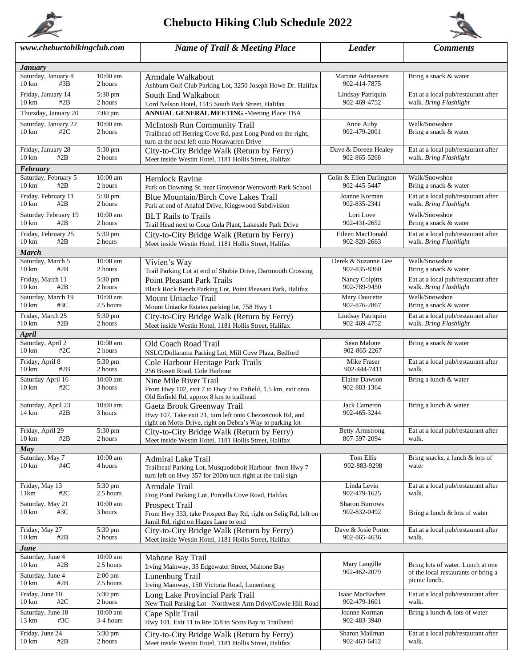

## **Chebucto Hiking Club Schedule 2022**



| www.chebuctohikingclub.com                     |                              | <b>Name of Trail &amp; Meeting Place</b>                                                                              | <b>Leader</b>                        | <b>Comments</b>                                                          |  |  |  |
|------------------------------------------------|------------------------------|-----------------------------------------------------------------------------------------------------------------------|--------------------------------------|--------------------------------------------------------------------------|--|--|--|
| <b>January</b>                                 |                              |                                                                                                                       |                                      |                                                                          |  |  |  |
| Saturday, January 8                            | $10:00$ am                   | Armdale Walkabout                                                                                                     | Martine Adriaensen                   | Bring a snack & water                                                    |  |  |  |
| #3B<br>$10 \text{ km}$                         | 2 hours                      | Ashburn Golf Club Parking Lot, 3250 Joseph Howe Dr. Halifax                                                           | 902-414-7875                         |                                                                          |  |  |  |
| Friday, January 14                             | 5:30 pm                      | South End Walkabout                                                                                                   | Lindsay Patriquin                    | Eat at a local pub/restaurant after                                      |  |  |  |
| $10 \text{ km}$<br>#2B                         | 2 hours                      | Lord Nelson Hotel, 1515 South Park Street, Halifax                                                                    | 902-469-4752                         | walk. Bring Flashlight                                                   |  |  |  |
| Thursday, January 20                           | 7:00 pm                      | <b>ANNUAL GENERAL MEETING -Meeting Place TBA</b>                                                                      |                                      |                                                                          |  |  |  |
| Saturday, January 22                           | 10:00 am                     | McIntosh Run Community Trail                                                                                          | Anne Auby                            | Walk/Snowshoe                                                            |  |  |  |
| #2C<br>$10 \text{ km}$                         | 2 hours                      | Trailhead off Herring Cove Rd, past Long Pond on the right,<br>turn at the next left onto Norawarren Drive            | 902-479-2001                         | Bring a snack & water                                                    |  |  |  |
| Friday, January 28<br>$10 \text{ km}$<br>#2B   | 5:30 pm<br>2 hours           | City-to-City Bridge Walk (Return by Ferry)<br>Meet inside Westin Hotel, 1181 Hollis Street, Halifax                   | Dave & Doreen Healey<br>902-865-5268 | Eat at a local pub/restaurant after<br>walk. Bring Flashlight            |  |  |  |
| February                                       |                              |                                                                                                                       |                                      |                                                                          |  |  |  |
| Saturday, February 5                           | 10:00 am                     | <b>Hemlock Ravine</b>                                                                                                 | Colin & Ellen Darlington             | Walk/Snowshoe                                                            |  |  |  |
| #2B<br>$10 \text{ km}$                         | 2 hours                      | Park on Downing St. near Grosvenor Wentworth Park School                                                              | 902-445-5447                         | Bring a snack & water                                                    |  |  |  |
| Friday, February 11<br>$10 \text{ km}$<br>#2B  | 5:30 pm<br>2 hours           | Blue Mountain/Birch Cove Lakes Trail<br>Park at end of Anahid Drive, Kingswood Subdivision                            | Joanne Korman<br>902-835-2341        | Eat at a local pub/restaurant after<br>walk. Bring Flashlight            |  |  |  |
| Saturday February 19                           | 10:00 am                     | <b>BLT</b> Rails to Trails                                                                                            | Lori Love                            | Walk/Snowshoe                                                            |  |  |  |
| #2B<br>$10 \text{ km}$                         | 2 hours                      | Trail Head next to Coca Cola Plant, Lakeside Park Drive                                                               | 902-431-2652                         | Bring a snack & water                                                    |  |  |  |
| Friday, February 25                            | 5:30 pm                      | City-to-City Bridge Walk (Return by Ferry)                                                                            | Eileen MacDonald                     | Eat at a local pub/restaurant after                                      |  |  |  |
| #2B<br>$10 \text{ km}$                         | 2 hours                      | Meet inside Westin Hotel, 1181 Hollis Street, Halifax                                                                 | 902-820-2663                         | walk. Bring Flashlight                                                   |  |  |  |
| <b>March</b>                                   |                              |                                                                                                                       |                                      |                                                                          |  |  |  |
| Saturday, March 5<br>$10 \text{ km}$<br>#2B    | $10:00$ am<br>2 hours        | Vivien's Way<br>Trail Parking Lot at end of Shubie Drive, Dartmouth Crossing                                          | Derek & Suzanne Gee<br>902-835-8360  | Walk/Snowshoe<br>Bring a snack & water                                   |  |  |  |
| Friday, March 11<br>$10 \text{ km}$<br>#2B     | 5:30 pm<br>2 hours           | <b>Point Pleasant Park Trails</b><br>Black Rock Beach Parking Lot, Point Pleasant Park, Halifax                       | Nancy Colpitts<br>902-789-9450       | Eat at a local pub/restaurant after<br>walk. Bring Flashlight            |  |  |  |
| Saturday, March 19                             | 10:00 am                     | Mount Uniacke Trail                                                                                                   | Mary Doucette                        | Walk/Snowshoe                                                            |  |  |  |
| $10 \text{ km}$<br>#3C                         | 2.5 hours                    | Mount Uniacke Estates parking lot, 758 Hwy 1                                                                          | 902-876-2867                         | Bring a snack & water                                                    |  |  |  |
| Friday, March 25                               | 5:30 pm                      | City-to-City Bridge Walk (Return by Ferry)                                                                            | Lindsay Patriquin                    | Eat at a local pub/restaurant after                                      |  |  |  |
| $10 \text{ km}$<br>#2B                         | 2 hours                      | Meet inside Westin Hotel, 1181 Hollis Street, Halifax                                                                 | 902-469-4752                         | walk. Bring Flashlight                                                   |  |  |  |
| <b>April</b>                                   |                              |                                                                                                                       |                                      |                                                                          |  |  |  |
| Saturday, April 2                              | 10:00 am                     | Old Coach Road Trail                                                                                                  | Sean Malone                          | Bring a snack & water                                                    |  |  |  |
| $10 \text{ km}$<br>#2 $C$                      | 2 hours                      | NSLC/Dollarama Parking Lot, Mill Cove Plaza, Bedford                                                                  | 902-865-2267                         |                                                                          |  |  |  |
| Friday, April 8<br>$10 \text{ km}$<br>#2B      | 5:30 pm<br>2 hours           | Cole Harbour Heritage Park Trails<br>256 Bissett Road, Cole Harbour                                                   | Mike Fraser<br>902-444-7411          | Eat at a local pub/restaurant after<br>walk.                             |  |  |  |
| Saturday April 16<br>$10 \text{ km}$<br>#2 $C$ | $10:00$ am<br>3 hours        | Nine Mile River Trail                                                                                                 | <b>Elaine Dawson</b><br>902-883-1364 | Bring a lunch & water                                                    |  |  |  |
|                                                |                              | From Hwy 102, exit 7 to Hwy 2 to Enfield, 1.5 km, exit onto<br>Old Enfield Rd, approx 8 km to trailhead               |                                      |                                                                          |  |  |  |
| Saturday, April 23                             | 10:00 am                     | Gaetz Brook Greenway Trail                                                                                            | Jack Cameron                         | Bring a lunch & water                                                    |  |  |  |
| 14 km<br>#2 $B$                                | 3 hours                      | Hwy 107, Take exit 21, turn left onto Chezzetcook Rd, and                                                             | 902-465-3244                         |                                                                          |  |  |  |
|                                                |                              | right on Motts Drive, right on Debra's Way to parking lot                                                             |                                      |                                                                          |  |  |  |
| Friday, April 29                               | 5:30 pm                      | City-to-City Bridge Walk (Return by Ferry)                                                                            | <b>Betty Armstrong</b>               | Eat at a local pub/restaurant after                                      |  |  |  |
| $10 \text{ km}$<br>#2B                         | 2 hours                      | Meet inside Westin Hotel, 1181 Hollis Street, Halifax                                                                 | 807-597-2094                         | walk.                                                                    |  |  |  |
| May                                            |                              |                                                                                                                       |                                      |                                                                          |  |  |  |
| Saturday, May 7<br>#4C<br>$10 \text{ km}$      | $10:00$ am<br>4 hours        | Admiral Lake Trail                                                                                                    | Tom Ellis<br>902-883-9298            | Bring snacks, a lunch & lots of<br>water                                 |  |  |  |
|                                                |                              | Trailhead Parking Lot, Musquodoboit Harbour -from Hwy 7<br>turn left on Hwy 357 for 200m turn right at the trail sign |                                      |                                                                          |  |  |  |
| Friday, May 13                                 | $\overline{5:}30 \text{ pm}$ | Armdale Trail                                                                                                         | Linda Levin                          | Eat at a local pub/restaurant after                                      |  |  |  |
| 11km<br>#2 $\rm C$                             | 2.5 hours                    | Frog Pond Parking Lot, Purcells Cove Road, Halifax                                                                    | 902-479-1625                         | walk.                                                                    |  |  |  |
| Saturday, May 21                               | $10:00$ am                   | <b>Prospect Trail</b>                                                                                                 | Sharon Burrows                       |                                                                          |  |  |  |
| #3C<br>$10 \text{ km}$                         | 3 hours                      | From Hwy 333, take Prospect Bay Rd, right on Selig Rd, left on                                                        | 902-832-0492                         | Bring a lunch & lots of water                                            |  |  |  |
|                                                |                              | Jamil Rd, right on Hages Lane to end                                                                                  |                                      |                                                                          |  |  |  |
| Friday, May 27                                 | 5:30 pm                      | City-to-City Bridge Walk (Return by Ferry)                                                                            | Dave & Josie Porter                  | Eat at a local pub/restaurant after                                      |  |  |  |
| #2B<br>$10 \text{ km}$                         | 2 hours                      | Meet inside Westin Hotel, 1181 Hollis Street, Halifax                                                                 | 902-865-4636                         | walk.                                                                    |  |  |  |
| June                                           |                              |                                                                                                                       |                                      |                                                                          |  |  |  |
| Saturday, June 4                               | $10:00$ am                   | Mahone Bay Trail                                                                                                      |                                      |                                                                          |  |  |  |
| $10 \text{ km}$<br>#2B                         | 2.5 hours                    | Irving Mainway, 33 Edgewater Street, Mahone Bay                                                                       | Mary Langille<br>902-462-2079        | Bring lots of water. Lunch at one<br>of the local restaurants or bring a |  |  |  |
| Saturday, June 4<br>#2B                        | $2:00$ pm                    | Lunenburg Trail                                                                                                       |                                      | picnic lunch.                                                            |  |  |  |
| $10 \text{ km}$                                | 2.5 hours                    | Irving Mainway, 150 Victoria Road, Lunenburg                                                                          |                                      |                                                                          |  |  |  |
| Friday, June 10<br>$10 \text{ km}$<br>#2 $C$   | 5:30 pm<br>2 hours           | Long Lake Provincial Park Trail                                                                                       | Isaac MacEachen<br>902-479-1601      | Eat at a local pub/restaurant after<br>walk.                             |  |  |  |
|                                                | 10:00 am                     | New Trail Parking Lot - Northwest Arm Drive/Cowie Hill Road                                                           |                                      |                                                                          |  |  |  |
| Saturday, June 18<br>#3C<br>13 km              | 3-4 hours                    | Cape Split Trail<br>Hwy 101, Exit 11 to Rte 358 to Scots Bay to Trailhead                                             | Joanne Korman<br>902-483-3940        | Bring a lunch & lots of water                                            |  |  |  |
|                                                |                              |                                                                                                                       |                                      |                                                                          |  |  |  |
| Friday, June 24<br>$10 \text{ km}$<br>#2B      | 5:30 pm<br>2 hours           | City-to-City Bridge Walk (Return by Ferry)<br>Meet inside Westin Hotel, 1181 Hollis Street, Halifax                   | Sharon Mailman<br>902-463-6412       | Eat at a local pub/restaurant after<br>walk.                             |  |  |  |